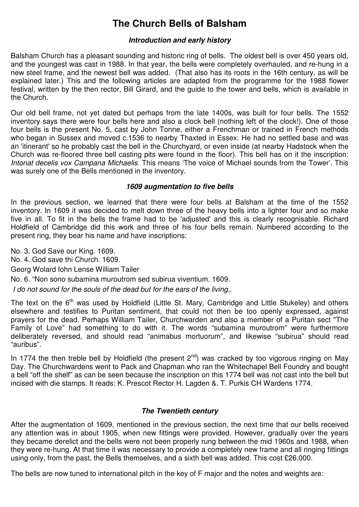# **The Church Bells of Balsham**

# **Introduction and early history**

Balsham Church has a pleasant sounding and historic ring of bells. The oldest bell is over 450 years old, and the youngest was cast in 1988. In that year, the bells were completely overhauled, and re-hung in a new steel frame, and the newest bell was added. (That also has its roots in the 16th century, as will be explained later.) This and the following articles are adapted from the programme for the 1988 flower festival, written by the then rector, Bill Girard, and the guide to the tower and bells, which is available in the Church.

Our old bell frame, not yet dated but perhaps from the late 1400s, was built for four bells. The 1552 inventory says there were four bells here and also a clock bell (nothing left of the clock!). One of those four bells is the present No. 5, cast by John Tonne, either a Frenchman or trained in French methods who began in Sussex and moved c.1536 to nearby Thaxted in Essex. He had no settled base and was an 'itinerant' so he probably cast the bell in the Churchyard, or even inside (at nearby Hadstock when the Church was re-floored three bell casting pits were found in the floor). This bell has on it the inscription: Intonat decelis vox Campana Michaelis. This means 'The voice of Michael sounds from the Tower'. This was surely one of the Bells mentioned in the inventory.

# **1609 augmentation to five bells**

In the previous section, we learned that there were four bells at Balsham at the time of the 1552 inventory. In 1609 it was decided to melt down three of the heavy bells into a lighter four and so make five in all. To fit in the bells the frame had to be 'adjusted' and this is clearly recognisable. Richard Holdfield of Cambridge did this work and three of his four bells remain. Numbered according to the present ring, they bear his name and have inscriptions:

No. 3. God Save our King. 1609. No. 4. God save thi Church. 1609. Georg Wolard Iohn Lense William Tailer No. 6. "Non sono subamina muroutrom sed subirua viventium. 1609.

I do not sound for the souls of the dead but for the ears of the living,.

The text on the 6<sup>th</sup> was used by Holdfield (Little St. Mary, Cambridge and Little Stukeley) and others elsewhere and testifies to Puritan sentiment, that could not then be too openly expressed, against prayers for the dead. Perhaps William Tailer, Churchwarden and also a member of a Puritan sect "The Family of Love" had something to do with it. The words "subamina muroutrom" were furthermore deliberately reversed, and should read "animabus mortuorum", and likewise "subirua" should read "auribus".

In 1774 the then treble bell by Holdfield (the present  $2<sup>nd</sup>$ ) was cracked by too vigorous ringing on May Day. The Churchwardens went to Pack and Chapman who ran the Whitechapel Bell Foundry and bought a bell "off the shelf" as can be seen because the inscription on this 1774 bell was not cast into the bell but incised with die stamps. It reads: K. Prescot Rector H. Lagden &. T. Purkis CH Wardens 1774.

# **The Twentieth century**

After the augmentation of 1609, mentioned in the previous section, the next time that our bells received any attention was in about 1905, when new fittings were provided. However, gradually over the years they became derelict and the bells were not been properly rung between the mid 1960s and 1988, when they were re-hung. At that time it was necessary to provide a completely new frame and all ringing fittings using only, from the past, the Bells themselves, and a sixth bell was added. This cost £26,000.

The bells are now tuned to international pitch in the key of F major and the notes and weights are: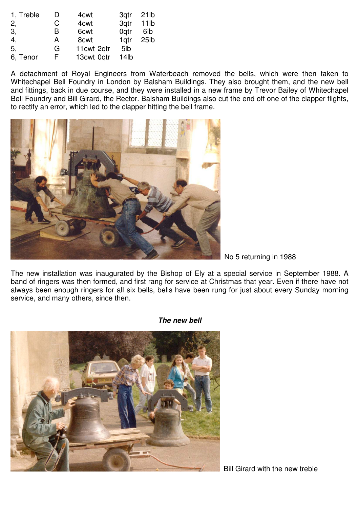| 1, Treble | I) | 4 <sub>cwt</sub> | 3qtr             | 21 <sub>lb</sub>  |
|-----------|----|------------------|------------------|-------------------|
| 2,        | C  | 4 <sub>cwt</sub> | 3qtr             | 11 <sub>1</sub>   |
| 3,        | в  | 6 <sub>cwt</sub> | 0 <sub>atr</sub> | 6 <sub>lb</sub>   |
| 4,        | A  | 8 <sub>cwt</sub> | 1 <sub>gtr</sub> | 25 <sub>1</sub> b |
| 5,        | G  | 11cwt 2gtr       | 5lb              |                   |
| 6, Tenor  | F  | 13cwt 0qtr       | 14 <sub>lb</sub> |                   |

A detachment of Royal Engineers from Waterbeach removed the bells, which were then taken to Whitechapel Bell Foundry in London by Balsham Buildings. They also brought them, and the new bell and fittings, back in due course, and they were installed in a new frame by Trevor Bailey of Whitechapel Bell Foundry and Bill Girard, the Rector. Balsham Buildings also cut the end off one of the clapper flights, to rectify an error, which led to the clapper hitting the bell frame.



No 5 returning in 1988

The new installation was inaugurated by the Bishop of Ely at a special service in September 1988. A band of ringers was then formed, and first rang for service at Christmas that year. Even if there have not always been enough ringers for all six bells, bells have been rung for just about every Sunday morning service, and many others, since then.



**The new bell**

Bill Girard with the new treble